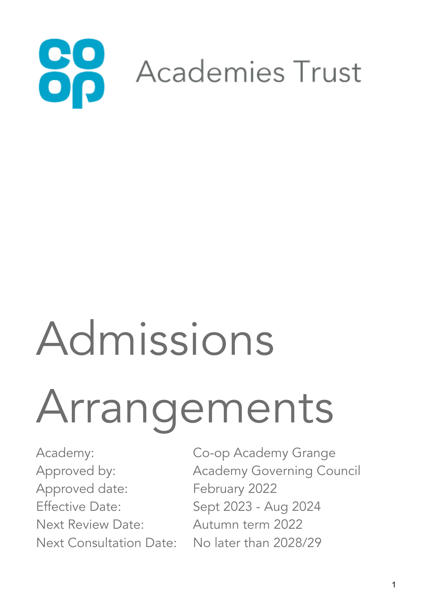

# Admissions

# Arrangements

Approved date: February 2022 Effective Date: Sept 2023 - Aug 2024 Next Review Date: Autumn term 2022 Next Consultation Date: No later than 2028/29

Academy: Co-op Academy Grange Approved by: Academy Governing Council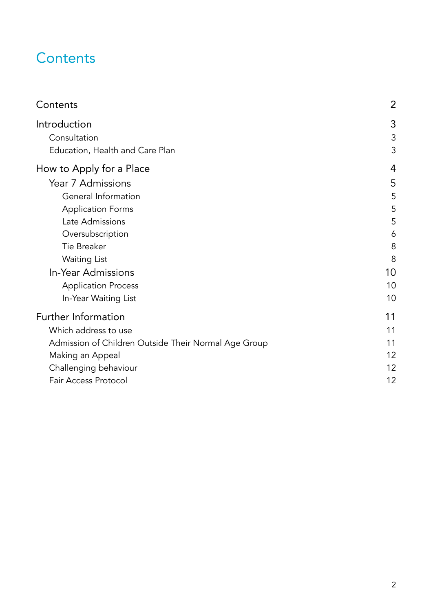# <span id="page-1-0"></span>**Contents**

| Contents                                                        | 2           |
|-----------------------------------------------------------------|-------------|
| Introduction<br>Consultation<br>Education, Health and Care Plan | 3<br>3<br>3 |
| How to Apply for a Place                                        | 4           |
| <b>Year 7 Admissions</b>                                        | 5           |
| General Information                                             | 5           |
| <b>Application Forms</b>                                        | 5           |
| Late Admissions                                                 | 5           |
| Oversubscription                                                | 6           |
| Tie Breaker                                                     | 8           |
| <b>Waiting List</b>                                             | 8           |
| In-Year Admissions                                              | 10          |
| <b>Application Process</b>                                      | 10          |
| In-Year Waiting List                                            | 10          |
| Further Information                                             | 11          |
| Which address to use                                            | 11          |
| Admission of Children Outside Their Normal Age Group            | 11          |
| Making an Appeal                                                | 12          |
| Challenging behaviour                                           | 12          |
| <b>Fair Access Protocol</b>                                     | 12          |
|                                                                 |             |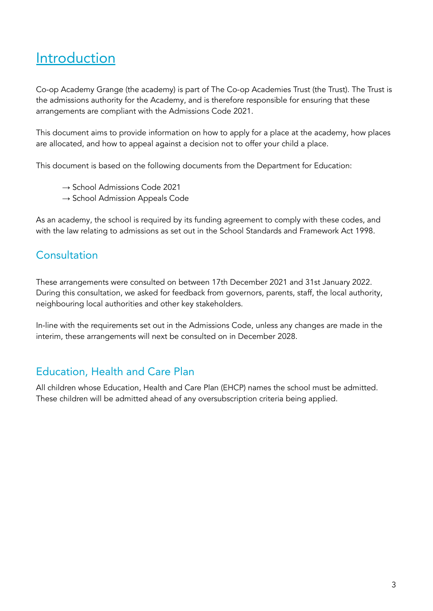# <span id="page-2-0"></span>Introduction

Co-op Academy Grange (the academy) is part of The Co-op Academies Trust (the Trust). The Trust is the admissions authority for the Academy, and is therefore responsible for ensuring that these arrangements are compliant with the Admissions Code 2021.

This document aims to provide information on how to apply for a place at the academy, how places are allocated, and how to appeal against a decision not to offer your child a place.

This document is based on the following documents from the Department for Education:

- $\rightarrow$  School Admissions Code 2021
- $\rightarrow$  School Admission Appeals Code

As an academy, the school is required by its funding agreement to comply with these codes, and with the law relating to admissions as set out in the School Standards and Framework Act 1998.

#### <span id="page-2-1"></span>**Consultation**

These arrangements were consulted on between 17th December 2021 and 31st January 2022. During this consultation, we asked for feedback from governors, parents, staff, the local authority, neighbouring local authorities and other key stakeholders.

In-line with the requirements set out in the Admissions Code, unless any changes are made in the interim, these arrangements will next be consulted on in December 2028.

#### <span id="page-2-2"></span>Education, Health and Care Plan

All children whose Education, Health and Care Plan (EHCP) names the school must be admitted. These children will be admitted ahead of any oversubscription criteria being applied.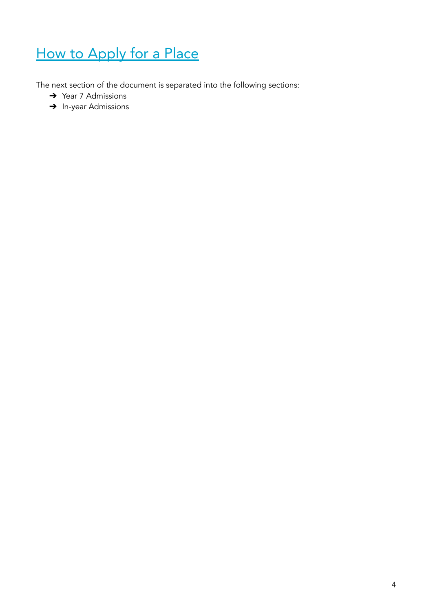# <span id="page-3-0"></span>How to Apply for a Place

The next section of the document is separated into the following sections:

- ➔ Year 7 Admissions
- ➔ In-year Admissions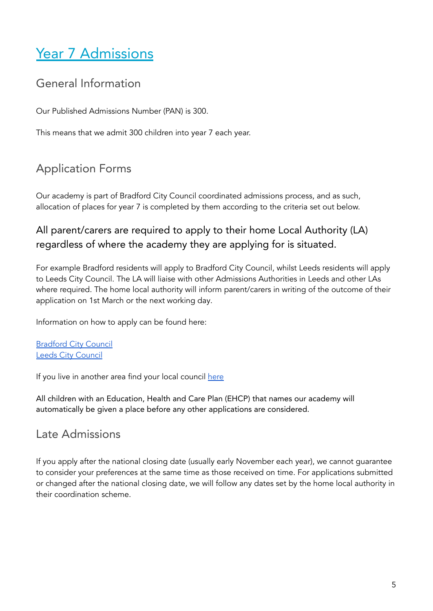# <span id="page-4-0"></span>Year 7 Admissions

### <span id="page-4-1"></span>General Information

Our Published Admissions Number (PAN) is 300.

This means that we admit 300 children into year 7 each year.

## <span id="page-4-2"></span>Application Forms

Our academy is part of Bradford City Council coordinated admissions process, and as such, allocation of places for year 7 is completed by them according to the criteria set out below.

#### All parent/carers are required to apply to their home Local Authority (LA) regardless of where the academy they are applying for is situated.

For example Bradford residents will apply to Bradford City Council, whilst Leeds residents will apply to Leeds City Council. The LA will liaise with other Admissions Authorities in Leeds and other LAs where required. The home local authority will inform parent/carers in writing of the outcome of their application on 1st March or the next working day.

Information on how to apply can be found here:

[Bradford](https://www.bradford.gov.uk/education-and-skills/school-admissions/apply-for-a-place-at-one-of-bradford-districts-schools/) City Council Leeds City [Council](https://www.leeds.gov.uk/schools-and-education/school-admissions/apply-for-a-primary-school)

If you live in another area find your local council [here](https://www.gov.uk/find-local-council)

All children with an Education, Health and Care Plan (EHCP) that names our academy will automatically be given a place before any other applications are considered.

#### <span id="page-4-3"></span>Late Admissions

If you apply after the national closing date (usually early November each year), we cannot guarantee to consider your preferences at the same time as those received on time. For applications submitted or changed after the national closing date, we will follow any dates set by the home local authority in their coordination scheme.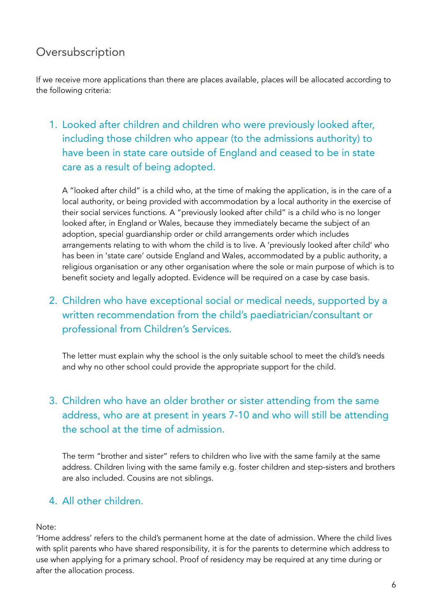## <span id="page-5-0"></span>**Oversubscription**

If we receive more applications than there are places available, places will be allocated according to the following criteria:

1. Looked after children and children who were previously looked after, including those children who appear (to the admissions authority) to have been in state care outside of England and ceased to be in state care as a result of being adopted.

A "looked after child" is a child who, at the time of making the application, is in the care of a local authority, or being provided with accommodation by a local authority in the exercise of their social services functions. A "previously looked after child" is a child who is no longer looked after, in England or Wales, because they immediately became the subject of an adoption, special guardianship order or child arrangements order which includes arrangements relating to with whom the child is to live. A 'previously looked after child' who has been in 'state care' outside England and Wales, accommodated by a public authority, a religious organisation or any other organisation where the sole or main purpose of which is to benefit society and legally adopted. Evidence will be required on a case by case basis.

#### 2. Children who have exceptional social or medical needs, supported by a written recommendation from the child's paediatrician/consultant or professional from Children's Services.

The letter must explain why the school is the only suitable school to meet the child's needs and why no other school could provide the appropriate support for the child.

#### 3. Children who have an older brother or sister attending from the same address, who are at present in years 7-10 and who will still be attending the school at the time of admission.

The term "brother and sister" refers to children who live with the same family at the same address. Children living with the same family e.g. foster children and step-sisters and brothers are also included. Cousins are not siblings.

#### 4. All other children.

Note:

'Home address' refers to the child's permanent home at the date of admission. Where the child lives with split parents who have shared responsibility, it is for the parents to determine which address to use when applying for a primary school. Proof of residency may be required at any time during or after the allocation process.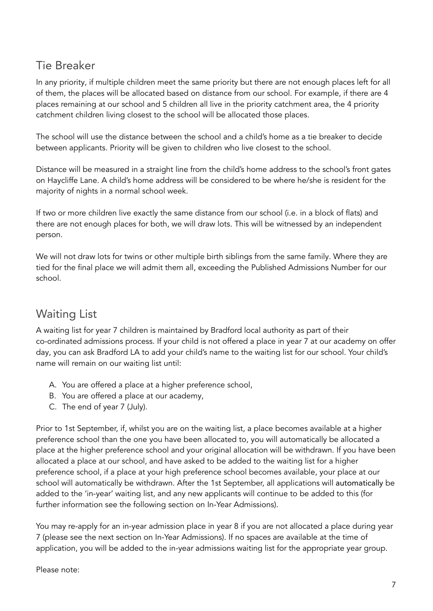### <span id="page-6-0"></span>Tie Breaker

In any priority, if multiple children meet the same priority but there are not enough places left for all of them, the places will be allocated based on distance from our school. For example, if there are 4 places remaining at our school and 5 children all live in the priority catchment area, the 4 priority catchment children living closest to the school will be allocated those places.

The school will use the distance between the school and a child's home as a tie breaker to decide between applicants. Priority will be given to children who live closest to the school.

Distance will be measured in a straight line from the child's home address to the school's front gates on Haycliffe Lane. A child's home address will be considered to be where he/she is resident for the majority of nights in a normal school week.

If two or more children live exactly the same distance from our school (i.e. in a block of flats) and there are not enough places for both, we will draw lots. This will be witnessed by an independent person.

We will not draw lots for twins or other multiple birth siblings from the same family. Where they are tied for the final place we will admit them all, exceeding the Published Admissions Number for our school.

## <span id="page-6-1"></span>Waiting List

A waiting list for year 7 children is maintained by Bradford local authority as part of their co-ordinated admissions process. If your child is not offered a place in year 7 at our academy on offer day, you can ask Bradford LA to add your child's name to the waiting list for our school. Your child's name will remain on our waiting list until:

- A. You are offered a place at a higher preference school,
- B. You are offered a place at our academy,
- C. The end of year 7 (July).

Prior to 1st September, if, whilst you are on the waiting list, a place becomes available at a higher preference school than the one you have been allocated to, you will automatically be allocated a place at the higher preference school and your original allocation will be withdrawn. If you have been allocated a place at our school, and have asked to be added to the waiting list for a higher preference school, if a place at your high preference school becomes available, your place at our school will automatically be withdrawn. After the 1st September, all applications will automatically be added to the 'in-year' waiting list, and any new applicants will continue to be added to this (for further information see the following section on In-Year Admissions).

You may re-apply for an in-year admission place in year 8 if you are not allocated a place during year 7 (please see the next section on In-Year Admissions). If no spaces are available at the time of application, you will be added to the in-year admissions waiting list for the appropriate year group.

#### Please note: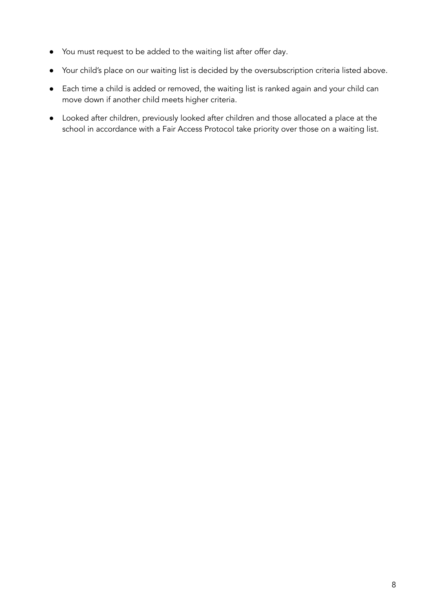- You must request to be added to the waiting list after offer day.
- Your child's place on our waiting list is decided by the oversubscription criteria listed above.
- Each time a child is added or removed, the waiting list is ranked again and your child can move down if another child meets higher criteria.
- Looked after children, previously looked after children and those allocated a place at the school in accordance with a Fair Access Protocol take priority over those on a waiting list.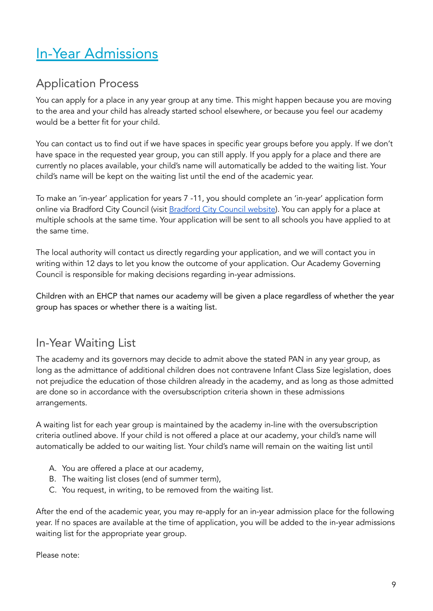# <span id="page-8-0"></span>In-Year Admissions

## <span id="page-8-1"></span>Application Process

You can apply for a place in any year group at any time. This might happen because you are moving to the area and your child has already started school elsewhere, or because you feel our academy would be a better fit for your child.

You can contact us to find out if we have spaces in specific year groups before you apply. If we don't have space in the requested year group, you can still apply. If you apply for a place and there are currently no places available, your child's name will automatically be added to the waiting list. Your child's name will be kept on the waiting list until the end of the academic year.

To make an 'in-year' application for years 7 -11, you should complete an 'in-year' application form online via Bradford City Council (visit [Bradford](https://bradford.gov.uk/education-and-skills/school-admissions/apply-for-a-place-at-one-of-bradford-districts-schools/) City Council website). You can apply for a place at multiple schools at the same time. Your application will be sent to all schools you have applied to at the same time.

The local authority will contact us directly regarding your application, and we will contact you in writing within 12 days to let you know the outcome of your application. Our Academy Governing Council is responsible for making decisions regarding in-year admissions.

Children with an EHCP that names our academy will be given a place regardless of whether the year group has spaces or whether there is a waiting list.

## <span id="page-8-2"></span>In-Year Waiting List

The academy and its governors may decide to admit above the stated PAN in any year group, as long as the admittance of additional children does not contravene Infant Class Size legislation, does not prejudice the education of those children already in the academy, and as long as those admitted are done so in accordance with the oversubscription criteria shown in these admissions arrangements.

A waiting list for each year group is maintained by the academy in-line with the oversubscription criteria outlined above. If your child is not offered a place at our academy, your child's name will automatically be added to our waiting list. Your child's name will remain on the waiting list until

- A. You are offered a place at our academy,
- B. The waiting list closes (end of summer term),
- C. You request, in writing, to be removed from the waiting list.

After the end of the academic year, you may re-apply for an in-year admission place for the following year. If no spaces are available at the time of application, you will be added to the in-year admissions waiting list for the appropriate year group.

Please note: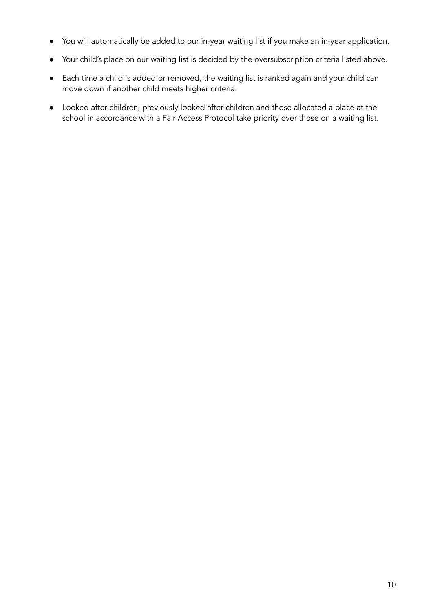- You will automatically be added to our in-year waiting list if you make an in-year application.
- Your child's place on our waiting list is decided by the oversubscription criteria listed above.
- Each time a child is added or removed, the waiting list is ranked again and your child can move down if another child meets higher criteria.
- <span id="page-9-0"></span>● Looked after children, previously looked after children and those allocated a place at the school in accordance with a Fair Access Protocol take priority over those on a waiting list.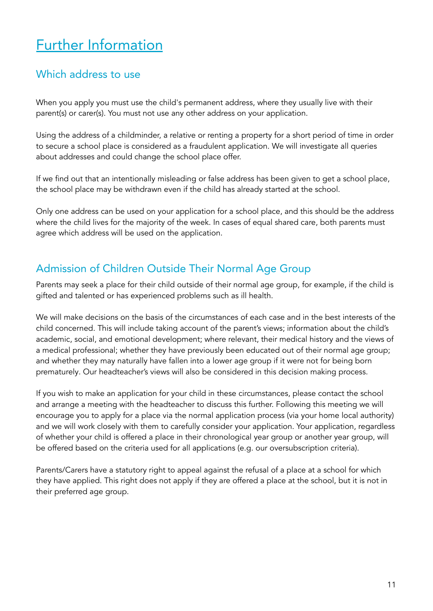# Further Information

#### <span id="page-10-0"></span>Which address to use

When you apply you must use the child's permanent address, where they usually live with their parent(s) or carer(s). You must not use any other address on your application.

Using the address of a childminder, a relative or renting a property for a short period of time in order to secure a school place is considered as a fraudulent application. We will investigate all queries about addresses and could change the school place offer.

If we find out that an intentionally misleading or false address has been given to get a school place, the school place may be withdrawn even if the child has already started at the school.

Only one address can be used on your application for a school place, and this should be the address where the child lives for the majority of the week. In cases of equal shared care, both parents must agree which address will be used on the application.

#### <span id="page-10-1"></span>Admission of Children Outside Their Normal Age Group

Parents may seek a place for their child outside of their normal age group, for example, if the child is gifted and talented or has experienced problems such as ill health.

We will make decisions on the basis of the circumstances of each case and in the best interests of the child concerned. This will include taking account of the parent's views; information about the child's academic, social, and emotional development; where relevant, their medical history and the views of a medical professional; whether they have previously been educated out of their normal age group; and whether they may naturally have fallen into a lower age group if it were not for being born prematurely. Our headteacher's views will also be considered in this decision making process.

If you wish to make an application for your child in these circumstances, please contact the school and arrange a meeting with the headteacher to discuss this further. Following this meeting we will encourage you to apply for a place via the normal application process (via your home local authority) and we will work closely with them to carefully consider your application. Your application, regardless of whether your child is offered a place in their chronological year group or another year group, will be offered based on the criteria used for all applications (e.g. our oversubscription criteria).

Parents/Carers have a statutory right to appeal against the refusal of a place at a school for which they have applied. This right does not apply if they are offered a place at the school, but it is not in their preferred age group.